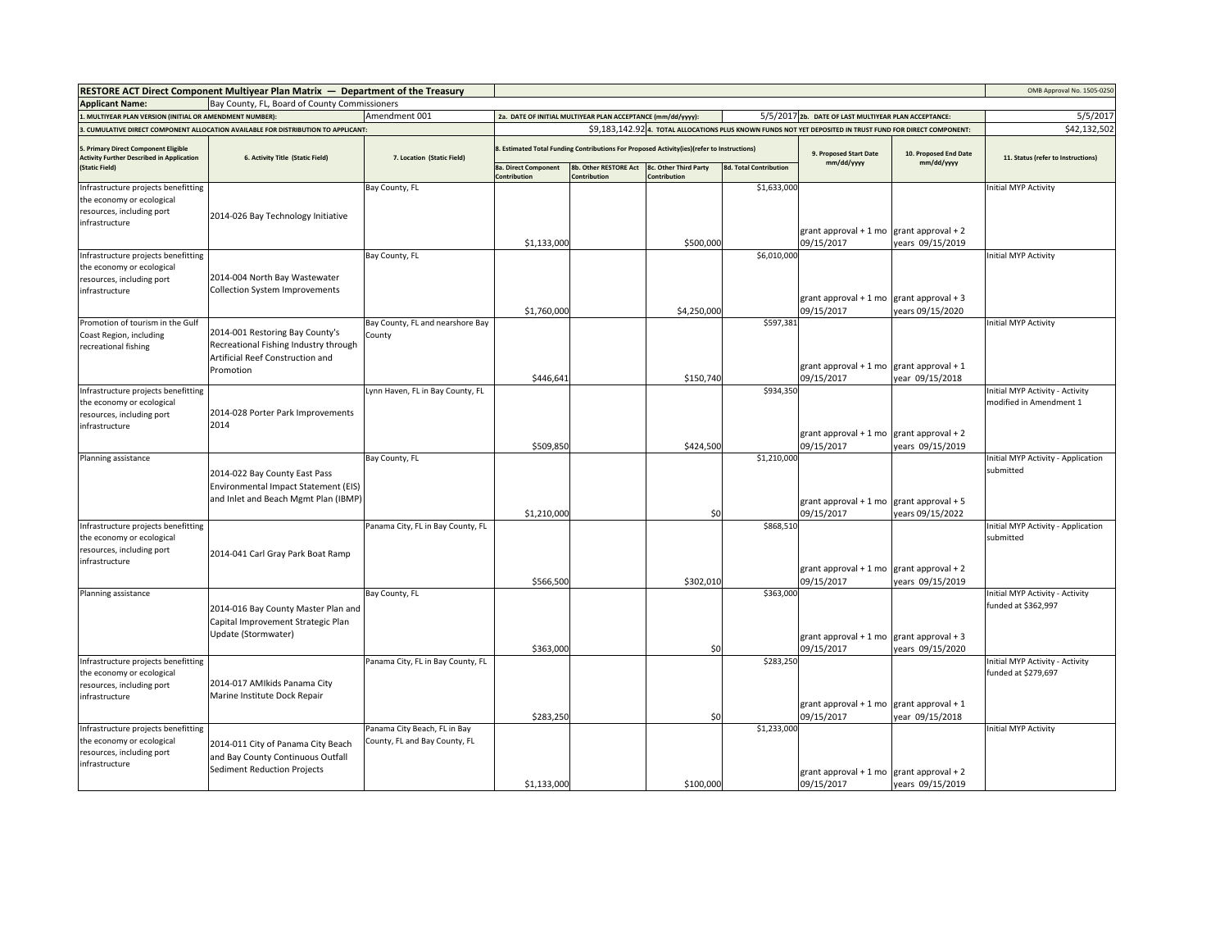|                                                                                          | RESTORE ACT Direct Component Multiyear Plan Matrix - Department of the Treasury    |                                   |                                                                                            |                                                             |             |                               |                                                                                                            |                                     | OMB Approval No. 1505-0250         |
|------------------------------------------------------------------------------------------|------------------------------------------------------------------------------------|-----------------------------------|--------------------------------------------------------------------------------------------|-------------------------------------------------------------|-------------|-------------------------------|------------------------------------------------------------------------------------------------------------|-------------------------------------|------------------------------------|
| <b>Applicant Name:</b>                                                                   | Bay County, FL, Board of County Commissioners                                      |                                   |                                                                                            |                                                             |             |                               |                                                                                                            |                                     |                                    |
| . MULTIYEAR PLAN VERSION (INITIAL OR AMENDMENT NUMBER):                                  |                                                                                    | Amendment 001                     |                                                                                            | 2a. DATE OF INITIAL MULTIYEAR PLAN ACCEPTANCE (mm/dd/yyyy): |             |                               | 5/5/2017 2b. DATE OF LAST MULTIYEAR PLAN ACCEPTANCE:                                                       |                                     | 5/5/2017                           |
|                                                                                          | 3. CUMULATIVE DIRECT COMPONENT ALLOCATION AVAILABLE FOR DISTRIBUTION TO APPLICANT: |                                   |                                                                                            |                                                             |             |                               | \$9,183,142.92 4. TOTAL ALLOCATIONS PLUS KNOWN FUNDS NOT YET DEPOSITED IN TRUST FUND FOR DIRECT COMPONENT: |                                     | \$42,132,502                       |
| 5. Primary Direct Component Eligible<br><b>Activity Further Described in Application</b> | 6. Activity Title (Static Field)                                                   | 7. Location (Static Field)        | 8. Estimated Total Funding Contributions For Proposed Activity(ies)(refer to Instructions) |                                                             |             |                               | 9. Proposed Start Date<br>mm/dd/yyyy                                                                       | 10. Proposed End Date<br>mm/dd/yyyy | 11. Status (refer to Instructions) |
| (Static Field)                                                                           |                                                                                    |                                   | <b>8a. Direct Component</b><br>Contribution                                                | 8b. Other RESTORE Act 8c. Other Third Party<br>Contribution | ontribution | <b>8d. Total Contribution</b> |                                                                                                            |                                     |                                    |
| Infrastructure projects benefitting                                                      |                                                                                    | Bay County, FL                    |                                                                                            |                                                             |             | \$1,633,000                   |                                                                                                            |                                     | Initial MYP Activity               |
| the economy or ecological                                                                |                                                                                    |                                   |                                                                                            |                                                             |             |                               |                                                                                                            |                                     |                                    |
| resources, including port                                                                | 2014-026 Bay Technology Initiative                                                 |                                   |                                                                                            |                                                             |             |                               |                                                                                                            |                                     |                                    |
| infrastructure                                                                           |                                                                                    |                                   |                                                                                            |                                                             |             |                               | grant approval + 1 mo $\left $ grant approval + 2                                                          |                                     |                                    |
|                                                                                          |                                                                                    |                                   | \$1,133,000                                                                                |                                                             | \$500,000   |                               | 09/15/2017                                                                                                 | years 09/15/2019                    |                                    |
| Infrastructure projects benefitting                                                      |                                                                                    | Bay County, FL                    |                                                                                            |                                                             |             | \$6,010,000                   |                                                                                                            |                                     | nitial MYP Activity                |
| the economy or ecological                                                                |                                                                                    |                                   |                                                                                            |                                                             |             |                               |                                                                                                            |                                     |                                    |
| resources, including port                                                                | 2014-004 North Bay Wastewater<br>Collection System Improvements                    |                                   |                                                                                            |                                                             |             |                               |                                                                                                            |                                     |                                    |
| infrastructure                                                                           |                                                                                    |                                   |                                                                                            |                                                             |             |                               | grant approval + 1 mo $\left $ grant approval + 3                                                          |                                     |                                    |
|                                                                                          |                                                                                    |                                   | \$1,760,000                                                                                |                                                             | \$4,250,000 |                               | 09/15/2017                                                                                                 | years 09/15/2020                    |                                    |
| Promotion of tourism in the Gulf                                                         |                                                                                    | Bay County, FL and nearshore Bay  |                                                                                            |                                                             |             | \$597,381                     |                                                                                                            |                                     | Initial MYP Activity               |
| Coast Region, including                                                                  | 2014-001 Restoring Bay County's<br>Recreational Fishing Industry through           | County                            |                                                                                            |                                                             |             |                               |                                                                                                            |                                     |                                    |
| recreational fishing                                                                     | Artificial Reef Construction and                                                   |                                   |                                                                                            |                                                             |             |                               |                                                                                                            |                                     |                                    |
|                                                                                          | Promotion                                                                          |                                   |                                                                                            |                                                             |             |                               | grant approval + 1 mo grant approval + 1                                                                   |                                     |                                    |
|                                                                                          |                                                                                    |                                   | \$446,641                                                                                  |                                                             | \$150,740   |                               | 09/15/2017                                                                                                 | year 09/15/2018                     |                                    |
| Infrastructure projects benefitting                                                      |                                                                                    | Lynn Haven, FL in Bay County, FL  |                                                                                            |                                                             |             | \$934,350                     |                                                                                                            |                                     | Initial MYP Activity - Activity    |
| the economy or ecological                                                                | 2014-028 Porter Park Improvements                                                  |                                   |                                                                                            |                                                             |             |                               |                                                                                                            |                                     | modified in Amendment 1            |
| resources, including port<br>infrastructure                                              | 2014                                                                               |                                   |                                                                                            |                                                             |             |                               |                                                                                                            |                                     |                                    |
|                                                                                          |                                                                                    |                                   |                                                                                            |                                                             |             |                               | grant approval + 1 mo grant approval + 2                                                                   |                                     |                                    |
|                                                                                          |                                                                                    |                                   | \$509,850                                                                                  |                                                             | \$424,500   |                               | 09/15/2017                                                                                                 | years 09/15/2019                    |                                    |
| Planning assistance                                                                      |                                                                                    | Bay County, FL                    |                                                                                            |                                                             |             | \$1,210,000                   |                                                                                                            |                                     | Initial MYP Activity - Application |
|                                                                                          | 2014-022 Bay County East Pass                                                      |                                   |                                                                                            |                                                             |             |                               |                                                                                                            |                                     | submitted                          |
|                                                                                          | Environmental Impact Statement (EIS)                                               |                                   |                                                                                            |                                                             |             |                               |                                                                                                            |                                     |                                    |
|                                                                                          | and Inlet and Beach Mgmt Plan (IBMP)                                               |                                   |                                                                                            |                                                             |             |                               | grant approval + 1 mo grant approval + 5                                                                   |                                     |                                    |
|                                                                                          |                                                                                    |                                   | \$1,210,000                                                                                |                                                             | \$0         |                               | 09/15/2017                                                                                                 | years 09/15/2022                    |                                    |
| Infrastructure projects benefitting                                                      |                                                                                    | Panama City, FL in Bay County, FL |                                                                                            |                                                             |             | \$868,510                     |                                                                                                            |                                     | Initial MYP Activity - Application |
| the economy or ecological                                                                |                                                                                    |                                   |                                                                                            |                                                             |             |                               |                                                                                                            |                                     | submitted                          |
| resources, including port<br>infrastructure                                              | 2014-041 Carl Gray Park Boat Ramp                                                  |                                   |                                                                                            |                                                             |             |                               |                                                                                                            |                                     |                                    |
|                                                                                          |                                                                                    |                                   |                                                                                            |                                                             |             |                               | grant approval + 1 mo                                                                                      | grant approval + 2                  |                                    |
|                                                                                          |                                                                                    |                                   | \$566,500                                                                                  |                                                             | \$302,010   |                               | 09/15/2017                                                                                                 | years 09/15/2019                    |                                    |
| Planning assistance                                                                      |                                                                                    | Bay County, FL                    |                                                                                            |                                                             |             | \$363,000                     |                                                                                                            |                                     | Initial MYP Activity - Activity    |
|                                                                                          | 2014-016 Bay County Master Plan and                                                |                                   |                                                                                            |                                                             |             |                               |                                                                                                            |                                     | funded at \$362,997                |
|                                                                                          | Capital Improvement Strategic Plan                                                 |                                   |                                                                                            |                                                             |             |                               |                                                                                                            |                                     |                                    |
|                                                                                          | Update (Stormwater)                                                                |                                   |                                                                                            |                                                             |             |                               | grant approval + 1 mo $\left $ grant approval + 3                                                          |                                     |                                    |
|                                                                                          |                                                                                    |                                   | \$363,000                                                                                  |                                                             | \$0         |                               | 09/15/2017                                                                                                 | years 09/15/2020                    |                                    |
| Infrastructure projects benefitting                                                      |                                                                                    | Panama City, FL in Bay County, FL |                                                                                            |                                                             |             | \$283,250                     |                                                                                                            |                                     | Initial MYP Activity - Activity    |
| the economy or ecological<br>resources, including port                                   | 2014-017 AMIkids Panama City                                                       |                                   |                                                                                            |                                                             |             |                               |                                                                                                            |                                     | funded at \$279,697                |
| infrastructure                                                                           | Marine Institute Dock Repair                                                       |                                   |                                                                                            |                                                             |             |                               |                                                                                                            |                                     |                                    |
|                                                                                          |                                                                                    |                                   |                                                                                            |                                                             |             |                               | grant approval + 1 mo grant approval + 1                                                                   |                                     |                                    |
|                                                                                          |                                                                                    |                                   | \$283,250                                                                                  |                                                             | \$0         |                               | 09/15/2017                                                                                                 | year 09/15/2018                     |                                    |
| Infrastructure projects benefitting                                                      |                                                                                    | Panama City Beach, FL in Bay      |                                                                                            |                                                             |             | \$1,233,000                   |                                                                                                            |                                     | Initial MYP Activity               |
| the economy or ecological<br>resources, including port                                   | 2014-011 City of Panama City Beach                                                 | County, FL and Bay County, FL     |                                                                                            |                                                             |             |                               |                                                                                                            |                                     |                                    |
| infrastructure                                                                           | and Bay County Continuous Outfall                                                  |                                   |                                                                                            |                                                             |             |                               |                                                                                                            |                                     |                                    |
|                                                                                          | Sediment Reduction Projects                                                        |                                   |                                                                                            |                                                             |             |                               | grant approval + 1 mo grant approval + 2                                                                   |                                     |                                    |
|                                                                                          |                                                                                    |                                   | \$1.133.000                                                                                |                                                             | \$100,000   |                               | 09/15/2017                                                                                                 | years 09/15/2019                    |                                    |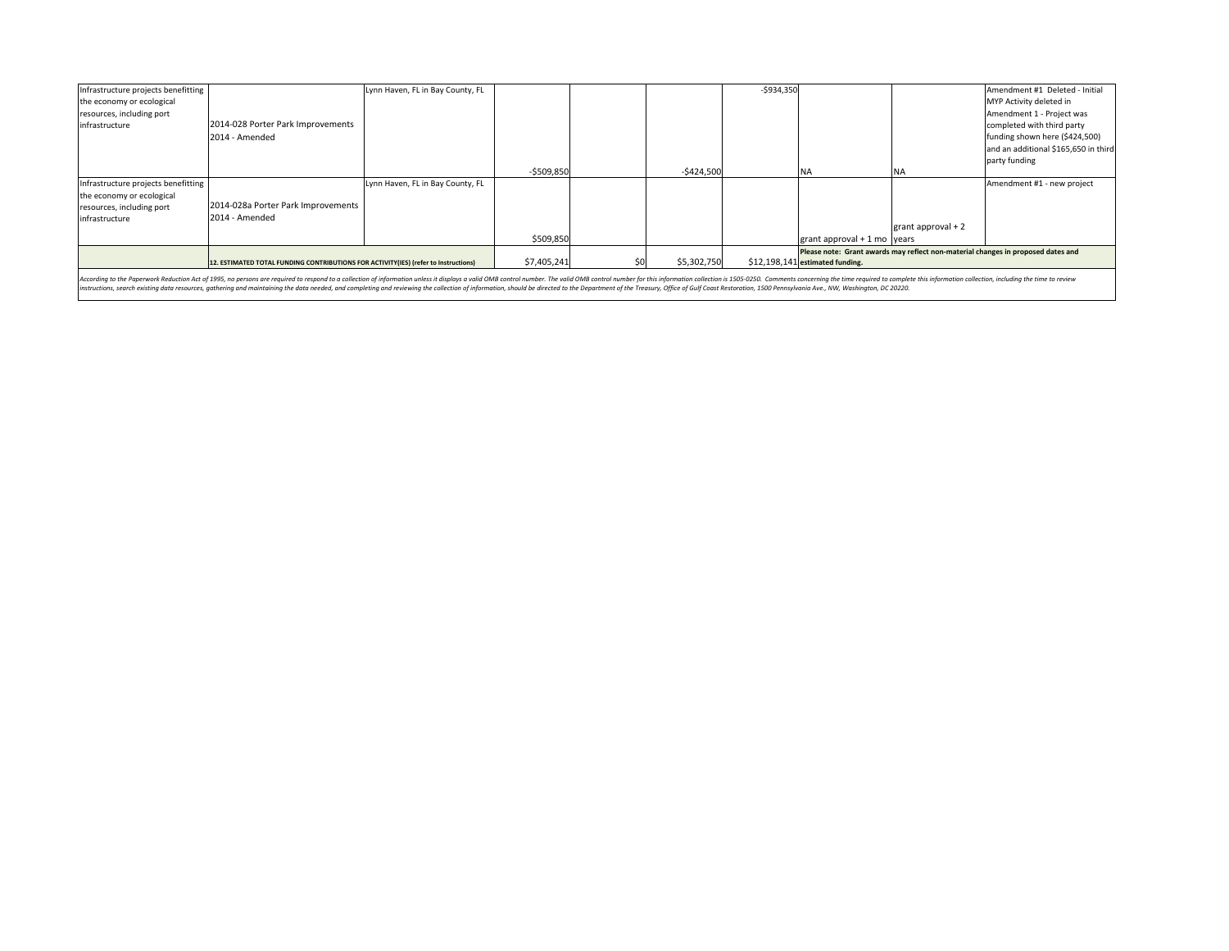| Infrastructure projects benefitting                                                                                                                                                                                            |                                                                                     | Lynn Haven, FL in Bay County, FL |             |  |             | $-$934,350$ |                                                                                  |                     | Amendment #1 Deleted - Initial       |
|--------------------------------------------------------------------------------------------------------------------------------------------------------------------------------------------------------------------------------|-------------------------------------------------------------------------------------|----------------------------------|-------------|--|-------------|-------------|----------------------------------------------------------------------------------|---------------------|--------------------------------------|
| the economy or ecological                                                                                                                                                                                                      |                                                                                     |                                  |             |  |             |             |                                                                                  |                     | MYP Activity deleted in              |
| resources, including port                                                                                                                                                                                                      |                                                                                     |                                  |             |  |             |             |                                                                                  |                     | Amendment 1 - Project was            |
| infrastructure                                                                                                                                                                                                                 | 2014-028 Porter Park Improvements                                                   |                                  |             |  |             |             |                                                                                  |                     | completed with third party           |
|                                                                                                                                                                                                                                | 2014 - Amended                                                                      |                                  |             |  |             |             |                                                                                  |                     | funding shown here (\$424,500)       |
|                                                                                                                                                                                                                                |                                                                                     |                                  |             |  |             |             |                                                                                  |                     | and an additional \$165,650 in third |
|                                                                                                                                                                                                                                |                                                                                     |                                  |             |  |             |             |                                                                                  |                     | party funding                        |
|                                                                                                                                                                                                                                |                                                                                     |                                  | $-5509,850$ |  | $-5424,500$ |             | - NA                                                                             |                     |                                      |
| Infrastructure projects benefitting                                                                                                                                                                                            |                                                                                     | Lynn Haven, FL in Bay County, FL |             |  |             |             |                                                                                  |                     | Amendment #1 - new project           |
| the economy or ecological                                                                                                                                                                                                      |                                                                                     |                                  |             |  |             |             |                                                                                  |                     |                                      |
| resources, including port                                                                                                                                                                                                      | 2014-028a Porter Park Improvements                                                  |                                  |             |  |             |             |                                                                                  |                     |                                      |
| infrastructure                                                                                                                                                                                                                 | 2014 - Amended                                                                      |                                  |             |  |             |             |                                                                                  | grant approval $+2$ |                                      |
|                                                                                                                                                                                                                                |                                                                                     |                                  | \$509,850   |  |             |             | grant approval $+1$ mo years                                                     |                     |                                      |
|                                                                                                                                                                                                                                |                                                                                     |                                  |             |  |             |             | Please note: Grant awards may reflect non-material changes in proposed dates and |                     |                                      |
|                                                                                                                                                                                                                                | 12. ESTIMATED TOTAL FUNDING CONTRIBUTIONS FOR ACTIVITY(IES) (refer to Instructions) |                                  | \$7,405,241 |  | \$5,302,750 |             | \$12,198,141 estimated funding.                                                  |                     |                                      |
| According to the Paperwork Reduction Act of 1995, no persons are required to respond to a collection of information unless it displays a valid OMB control number. The valid OMB control number for this information collectio |                                                                                     |                                  |             |  |             |             |                                                                                  |                     |                                      |

According to the Paperwork Reduction Act of 1955, no persons are required to respond to collection of information andex it displays valid OMB control number. The subility the studies and competing and reviewing the collect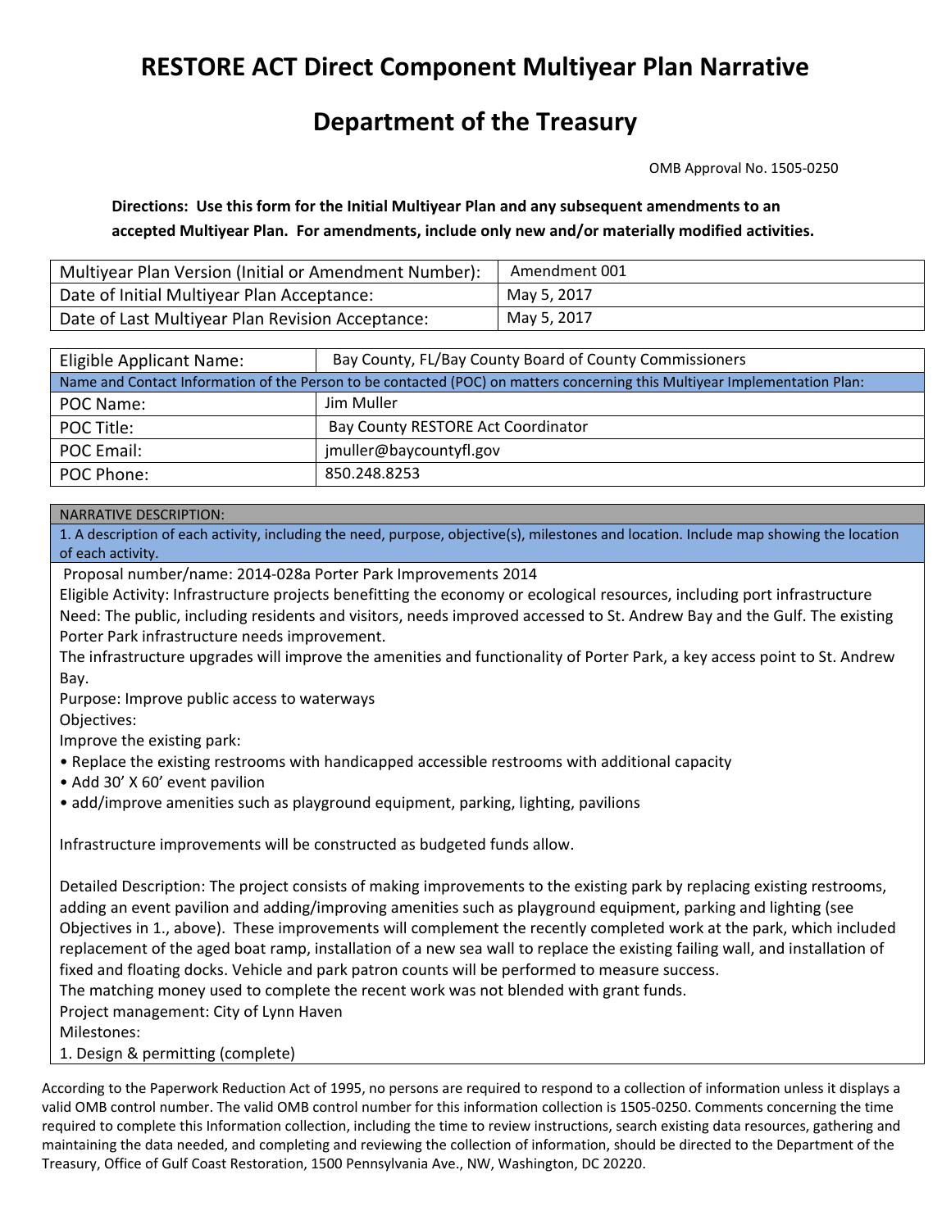## **RESTORE ACT Direct Component Multiyear Plan Narrative**

## **Department of the Treasury**

OMB Approval No. 1505‐0250

**Directions: Use this form for the Initial Multiyear Plan and any subsequent amendments to an accepted Multiyear Plan. For amendments, include only new and/or materially modified activities.**

| Multiyear Plan Version (Initial or Amendment Number): | Amendment 001 |
|-------------------------------------------------------|---------------|
| Date of Initial Multiyear Plan Acceptance:            | May 5, 2017   |
| Date of Last Multiyear Plan Revision Acceptance:      | May 5, 2017   |

| Eligible Applicant Name:                                                                                                   | Bay County, FL/Bay County Board of County Commissioners |  |  |  |
|----------------------------------------------------------------------------------------------------------------------------|---------------------------------------------------------|--|--|--|
| Name and Contact Information of the Person to be contacted (POC) on matters concerning this Multiyear Implementation Plan: |                                                         |  |  |  |
| POC Name:                                                                                                                  | Jim Muller                                              |  |  |  |
| POC Title:                                                                                                                 | Bay County RESTORE Act Coordinator                      |  |  |  |
| POC Email:                                                                                                                 | jmuller@baycountyfl.gov                                 |  |  |  |
| POC Phone:                                                                                                                 | 850.248.8253                                            |  |  |  |

## NARRATIVE DESCRIPTION:

1. A description of each activity, including the need, purpose, objective(s), milestones and location. Include map showing the location of each activity.

Proposal number/name: 2014‐028a Porter Park Improvements 2014

Eligible Activity: Infrastructure projects benefitting the economy or ecological resources, including port infrastructure Need: The public, including residents and visitors, needs improved accessed to St. Andrew Bay and the Gulf. The existing Porter Park infrastructure needs improvement.

The infrastructure upgrades will improve the amenities and functionality of Porter Park, a key access point to St. Andrew Bay.

Purpose: Improve public access to waterways

Objectives:

Improve the existing park:

• Replace the existing restrooms with handicapped accessible restrooms with additional capacity

- Add 30' X 60' event pavilion
- add/improve amenities such as playground equipment, parking, lighting, pavilions

Infrastructure improvements will be constructed as budgeted funds allow.

Detailed Description: The project consists of making improvements to the existing park by replacing existing restrooms, adding an event pavilion and adding/improving amenities such as playground equipment, parking and lighting (see Objectives in 1., above). These improvements will complement the recently completed work at the park, which included replacement of the aged boat ramp, installation of a new sea wall to replace the existing failing wall, and installation of fixed and floating docks. Vehicle and park patron counts will be performed to measure success. The matching money used to complete the recent work was not blended with grant funds. Project management: City of Lynn Haven

Milestones:

1. Design & permitting (complete)

According to the Paperwork Reduction Act of 1995, no persons are required to respond to a collection of information unless it displays a valid OMB control number. The valid OMB control number for this information collection is 1505‐0250. Comments concerning the time required to complete this Information collection, including the time to review instructions, search existing data resources, gathering and maintaining the data needed, and completing and reviewing the collection of information, should be directed to the Department of the Treasury, Office of Gulf Coast Restoration, 1500 Pennsylvania Ave., NW, Washington, DC 20220.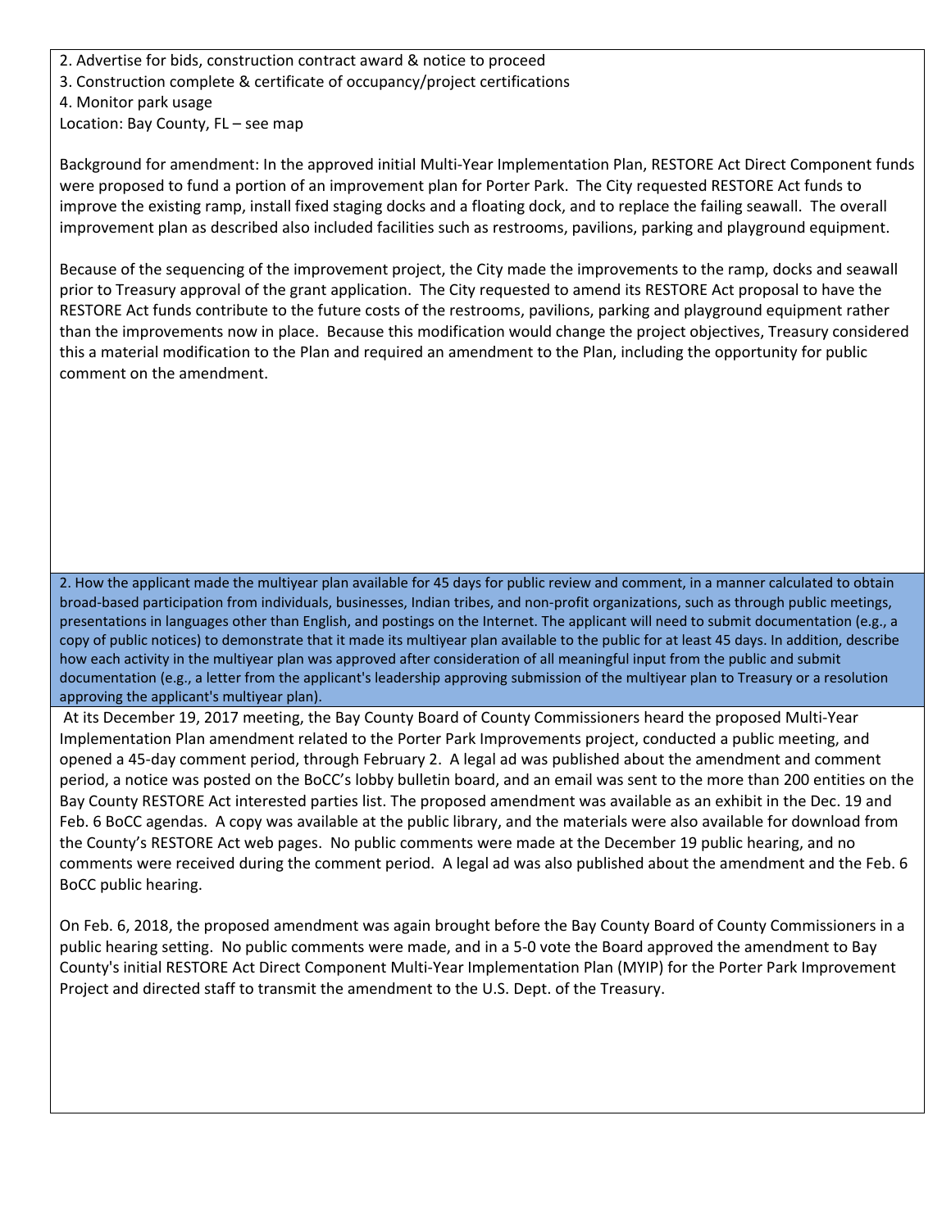2. Advertise for bids, construction contract award & notice to proceed

3. Construction complete & certificate of occupancy/project certifications

4. Monitor park usage

Location: Bay County, FL – see map

Background for amendment: In the approved initial Multi‐Year Implementation Plan, RESTORE Act Direct Component funds were proposed to fund a portion of an improvement plan for Porter Park. The City requested RESTORE Act funds to improve the existing ramp, install fixed staging docks and a floating dock, and to replace the failing seawall. The overall improvement plan as described also included facilities such as restrooms, pavilions, parking and playground equipment.

Because of the sequencing of the improvement project, the City made the improvements to the ramp, docks and seawall prior to Treasury approval of the grant application. The City requested to amend its RESTORE Act proposal to have the RESTORE Act funds contribute to the future costs of the restrooms, pavilions, parking and playground equipment rather than the improvements now in place. Because this modification would change the project objectives, Treasury considered this a material modification to the Plan and required an amendment to the Plan, including the opportunity for public comment on the amendment.

2. How the applicant made the multiyear plan available for 45 days for public review and comment, in a manner calculated to obtain broad‐based participation from individuals, businesses, Indian tribes, and non‐profit organizations, such as through public meetings, presentations in languages other than English, and postings on the Internet. The applicant will need to submit documentation (e.g., a copy of public notices) to demonstrate that it made its multiyear plan available to the public for at least 45 days. In addition, describe how each activity in the multiyear plan was approved after consideration of all meaningful input from the public and submit documentation (e.g., a letter from the applicant's leadership approving submission of the multiyear plan to Treasury or a resolution approving the applicant's multiyear plan).

At its December 19, 2017 meeting, the Bay County Board of County Commissioners heard the proposed Multi‐Year Implementation Plan amendment related to the Porter Park Improvements project, conducted a public meeting, and opened a 45‐day comment period, through February 2. A legal ad was published about the amendment and comment period, a notice was posted on the BoCC's lobby bulletin board, and an email was sent to the more than 200 entities on the Bay County RESTORE Act interested parties list. The proposed amendment was available as an exhibit in the Dec. 19 and Feb. 6 BoCC agendas. A copy was available at the public library, and the materials were also available for download from the County's RESTORE Act web pages. No public comments were made at the December 19 public hearing, and no comments were received during the comment period. A legal ad was also published about the amendment and the Feb. 6 BoCC public hearing.

On Feb. 6, 2018, the proposed amendment was again brought before the Bay County Board of County Commissioners in a public hearing setting. No public comments were made, and in a 5‐0 vote the Board approved the amendment to Bay County's initial RESTORE Act Direct Component Multi‐Year Implementation Plan (MYIP) for the Porter Park Improvement Project and directed staff to transmit the amendment to the U.S. Dept. of the Treasury.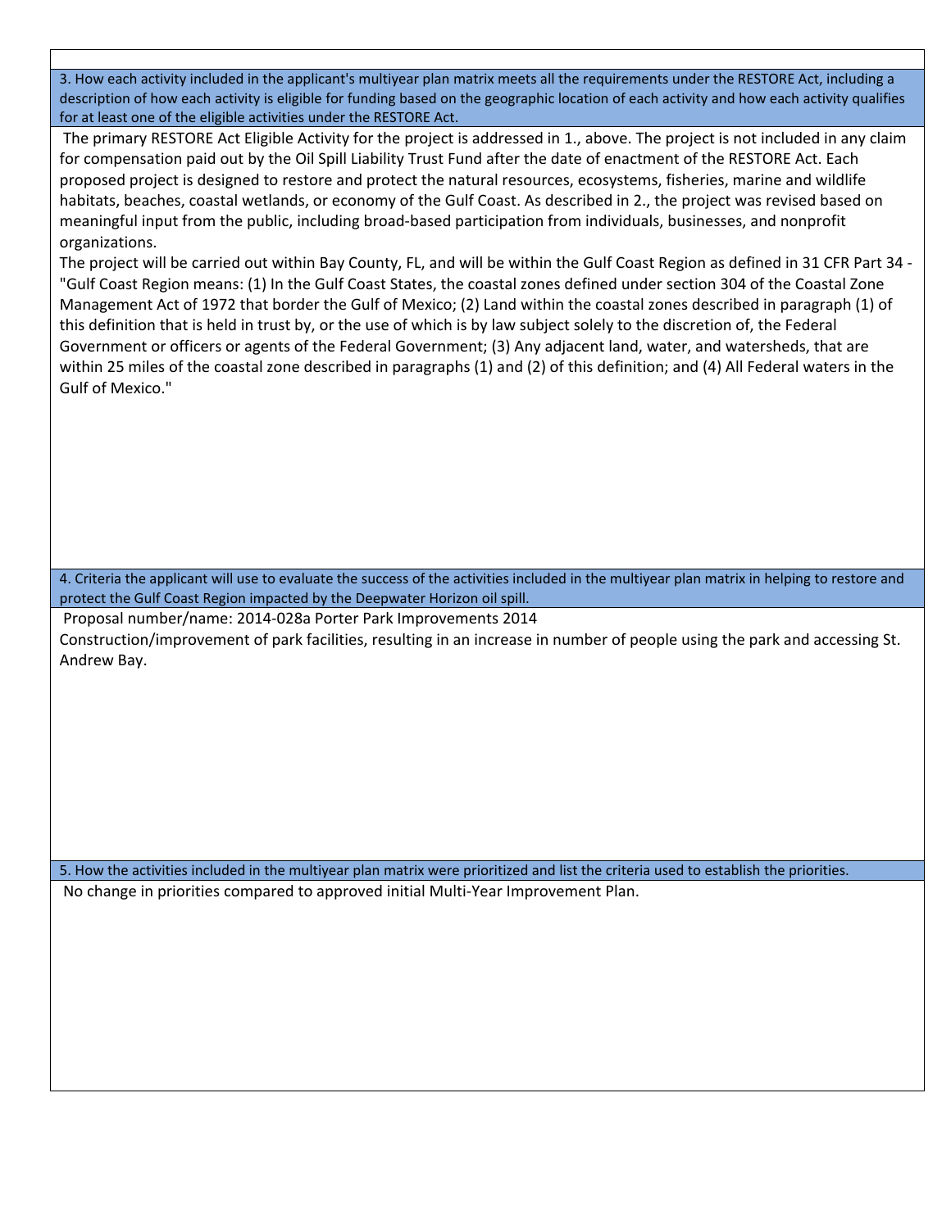3. How each activity included in the applicant's multiyear plan matrix meets all the requirements under the RESTORE Act, including a description of how each activity is eligible for funding based on the geographic location of each activity and how each activity qualifies for at least one of the eligible activities under the RESTORE Act.

The primary RESTORE Act Eligible Activity for the project is addressed in 1., above. The project is not included in any claim for compensation paid out by the Oil Spill Liability Trust Fund after the date of enactment of the RESTORE Act. Each proposed project is designed to restore and protect the natural resources, ecosystems, fisheries, marine and wildlife habitats, beaches, coastal wetlands, or economy of the Gulf Coast. As described in 2., the project was revised based on meaningful input from the public, including broad‐based participation from individuals, businesses, and nonprofit organizations.

The project will be carried out within Bay County, FL, and will be within the Gulf Coast Region as defined in 31 CFR Part 34 ‐ "Gulf Coast Region means: (1) In the Gulf Coast States, the coastal zones defined under section 304 of the Coastal Zone Management Act of 1972 that border the Gulf of Mexico; (2) Land within the coastal zones described in paragraph (1) of this definition that is held in trust by, or the use of which is by law subject solely to the discretion of, the Federal Government or officers or agents of the Federal Government; (3) Any adjacent land, water, and watersheds, that are within 25 miles of the coastal zone described in paragraphs (1) and (2) of this definition; and (4) All Federal waters in the Gulf of Mexico."

4. Criteria the applicant will use to evaluate the success of the activities included in the multiyear plan matrix in helping to restore and protect the Gulf Coast Region impacted by the Deepwater Horizon oil spill.

Proposal number/name: 2014‐028a Porter Park Improvements 2014

Construction/improvement of park facilities, resulting in an increase in number of people using the park and accessing St. Andrew Bay.

5. How the activities included in the multiyear plan matrix were prioritized and list the criteria used to establish the priorities. No change in priorities compared to approved initial Multi‐Year Improvement Plan.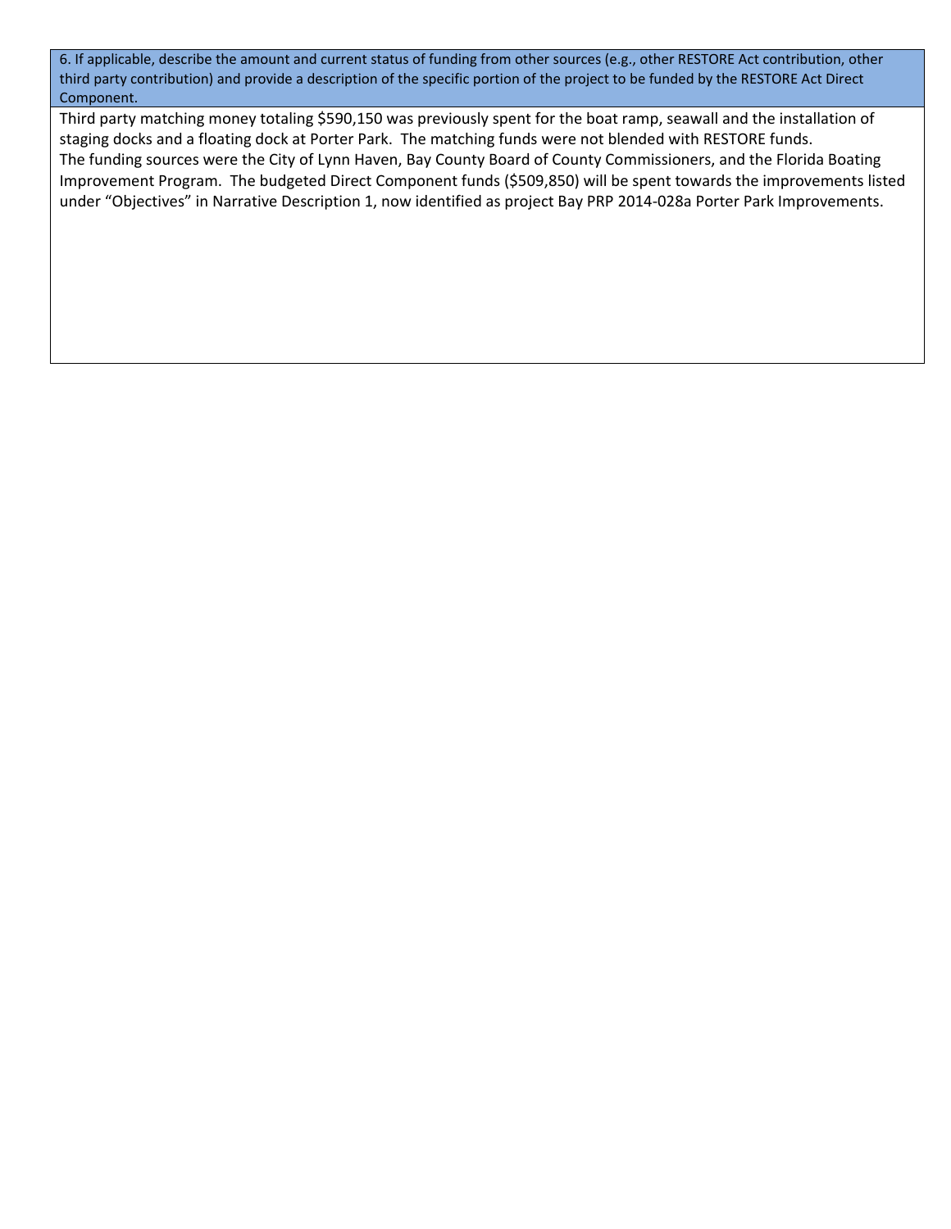6. If applicable, describe the amount and current status of funding from other sources (e.g., other RESTORE Act contribution, other third party contribution) and provide a description of the specific portion of the project to be funded by the RESTORE Act Direct Component.

Third party matching money totaling \$590,150 was previously spent for the boat ramp, seawall and the installation of staging docks and a floating dock at Porter Park. The matching funds were not blended with RESTORE funds. The funding sources were the City of Lynn Haven, Bay County Board of County Commissioners, and the Florida Boating Improvement Program. The budgeted Direct Component funds (\$509,850) will be spent towards the improvements listed under "Objectives" in Narrative Description 1, now identified as project Bay PRP 2014‐028a Porter Park Improvements.